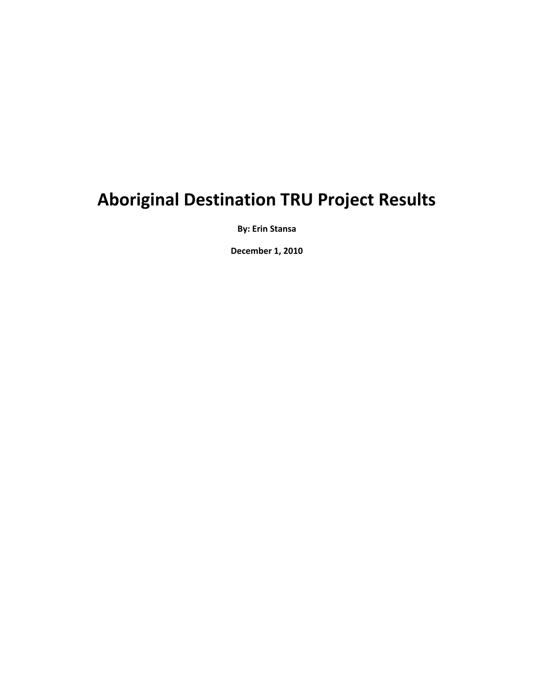# **Aboriginal Destination TRU Project Results**

**By: Erin Stansa**

**December 1, 2010**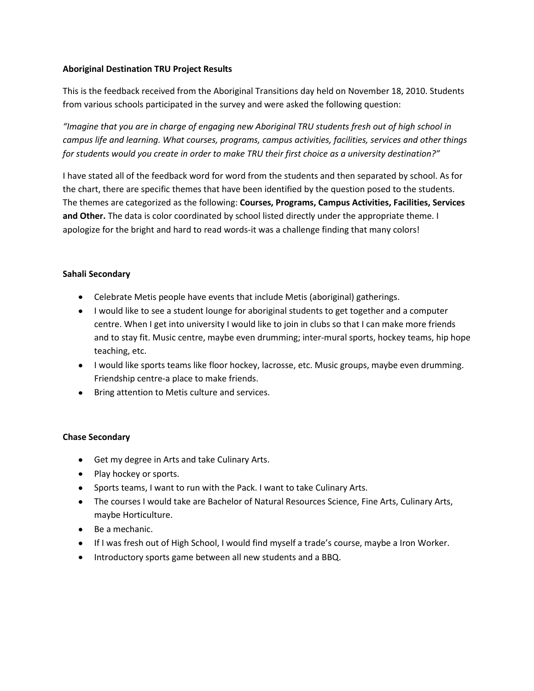# **Aboriginal Destination TRU Project Results**

This is the feedback received from the Aboriginal Transitions day held on November 18, 2010. Students from various schools participated in the survey and were asked the following question:

*"Imagine that you are in charge of engaging new Aboriginal TRU students fresh out of high school in campus life and learning. What courses, programs, campus activities, facilities, services and other things for students would you create in order to make TRU their first choice as a university destination?"*

I have stated all of the feedback word for word from the students and then separated by school. As for the chart, there are specific themes that have been identified by the question posed to the students. The themes are categorized as the following: **Courses, Programs, Campus Activities, Facilities, Services and Other.** The data is color coordinated by school listed directly under the appropriate theme. I apologize for the bright and hard to read words-it was a challenge finding that many colors!

# **Sahali Secondary**

- Celebrate Metis people have events that include Metis (aboriginal) gatherings.
- I would like to see a student lounge for aboriginal students to get together and a computer centre. When I get into university I would like to join in clubs so that I can make more friends and to stay fit. Music centre, maybe even drumming; inter-mural sports, hockey teams, hip hope teaching, etc.
- I would like sports teams like floor hockey, lacrosse, etc. Music groups, maybe even drumming. Friendship centre-a place to make friends.
- Bring attention to Metis culture and services.

# **Chase Secondary**

- Get my degree in Arts and take Culinary Arts.
- Play hockey or sports.
- Sports teams, I want to run with the Pack. I want to take Culinary Arts.
- The courses I would take are Bachelor of Natural Resources Science, Fine Arts, Culinary Arts, maybe Horticulture.
- Be a mechanic.
- If I was fresh out of High School, I would find myself a trade's course, maybe a Iron Worker.
- Introductory sports game between all new students and a BBQ.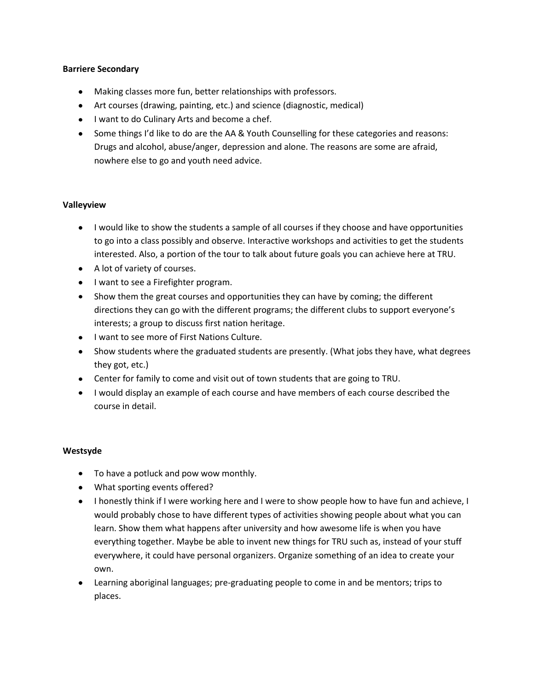## **Barriere Secondary**

- Making classes more fun, better relationships with professors.
- Art courses (drawing, painting, etc.) and science (diagnostic, medical)
- I want to do Culinary Arts and become a chef.
- Some things I'd like to do are the AA & Youth Counselling for these categories and reasons: Drugs and alcohol, abuse/anger, depression and alone. The reasons are some are afraid, nowhere else to go and youth need advice.

# **Valleyview**

- I would like to show the students a sample of all courses if they choose and have opportunities to go into a class possibly and observe. Interactive workshops and activities to get the students interested. Also, a portion of the tour to talk about future goals you can achieve here at TRU.
- A lot of variety of courses.
- I want to see a Firefighter program.
- Show them the great courses and opportunities they can have by coming; the different directions they can go with the different programs; the different clubs to support everyone's interests; a group to discuss first nation heritage.
- I want to see more of First Nations Culture.
- Show students where the graduated students are presently. (What jobs they have, what degrees they got, etc.)
- Center for family to come and visit out of town students that are going to TRU.
- I would display an example of each course and have members of each course described the course in detail.

## **Westsyde**

- To have a potluck and pow wow monthly.
- What sporting events offered?
- I honestly think if I were working here and I were to show people how to have fun and achieve, I would probably chose to have different types of activities showing people about what you can learn. Show them what happens after university and how awesome life is when you have everything together. Maybe be able to invent new things for TRU such as, instead of your stuff everywhere, it could have personal organizers. Organize something of an idea to create your own.
- Learning aboriginal languages; pre-graduating people to come in and be mentors; trips to places.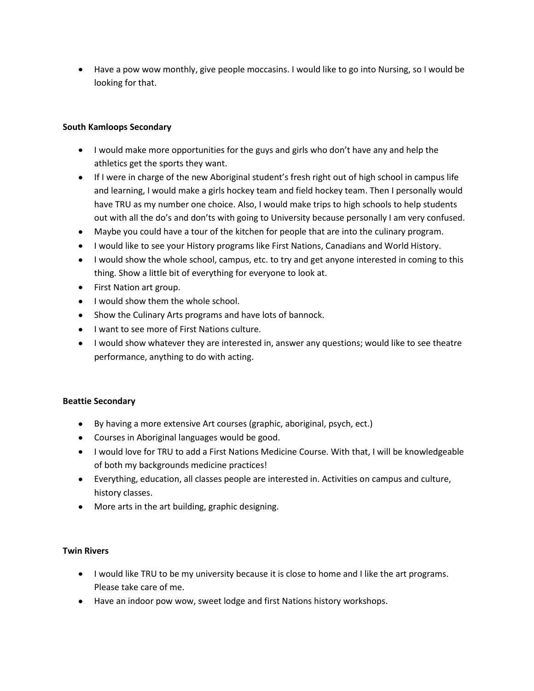Have a pow wow monthly, give people moccasins. I would like to go into Nursing, so I would be looking for that.

# **South Kamloops Secondary**

- I would make more opportunities for the guys and girls who don't have any and help the athletics get the sports they want.
- If I were in charge of the new Aboriginal student's fresh right out of high school in campus life and learning, I would make a girls hockey team and field hockey team. Then I personally would have TRU as my number one choice. Also, I would make trips to high schools to help students out with all the do's and don'ts with going to University because personally I am very confused.
- Maybe you could have a tour of the kitchen for people that are into the culinary program.
- I would like to see your History programs like First Nations, Canadians and World History.
- I would show the whole school, campus, etc. to try and get anyone interested in coming to this thing. Show a little bit of everything for everyone to look at.
- First Nation art group.
- I would show them the whole school.
- Show the Culinary Arts programs and have lots of bannock.
- I want to see more of First Nations culture.
- I would show whatever they are interested in, answer any questions; would like to see theatre performance, anything to do with acting.

## **Beattie Secondary**

- By having a more extensive Art courses (graphic, aboriginal, psych, ect.)
- Courses in Aboriginal languages would be good.
- I would love for TRU to add a First Nations Medicine Course. With that, I will be knowledgeable of both my backgrounds medicine practices!
- Everything, education, all classes people are interested in. Activities on campus and culture, history classes.
- More arts in the art building, graphic designing.

## **Twin Rivers**

- I would like TRU to be my university because it is close to home and I like the art programs. Please take care of me.
- Have an indoor pow wow, sweet lodge and first Nations history workshops.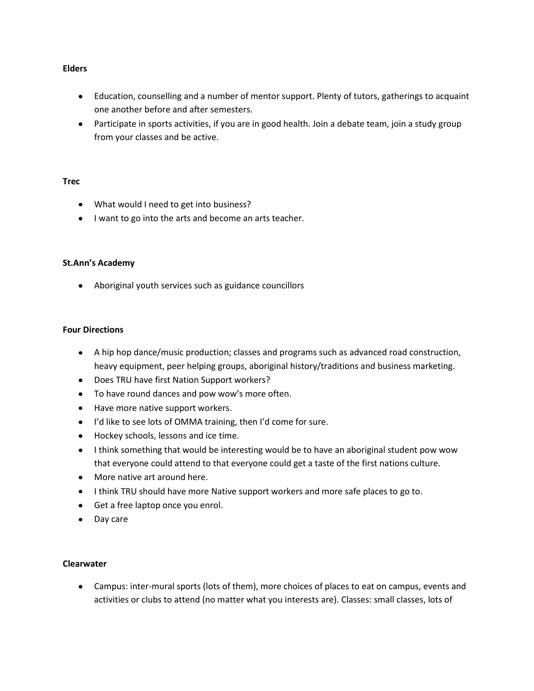#### **Elders**

- Education, counselling and a number of mentor support. Plenty of tutors, gatherings to acquaint one another before and after semesters.
- Participate in sports activities, if you are in good health. Join a debate team, join a study group from your classes and be active.

#### **Trec**

- What would I need to get into business?
- I want to go into the arts and become an arts teacher.

## **St.Ann's Academy**

Aboriginal youth services such as guidance councillors

#### **Four Directions**

- A hip hop dance/music production; classes and programs such as advanced road construction, heavy equipment, peer helping groups, aboriginal history/traditions and business marketing.
- Does TRU have first Nation Support workers?
- To have round dances and pow wow's more often.
- Have more native support workers.
- I'd like to see lots of OMMA training, then I'd come for sure.
- Hockey schools, lessons and ice time.
- I think something that would be interesting would be to have an aboriginal student pow wow that everyone could attend to that everyone could get a taste of the first nations culture.
- More native art around here.
- I think TRU should have more Native support workers and more safe places to go to.
- Get a free laptop once you enrol.
- Day care

#### **Clearwater**

Campus: inter-mural sports (lots of them), more choices of places to eat on campus, events and activities or clubs to attend (no matter what you interests are). Classes: small classes, lots of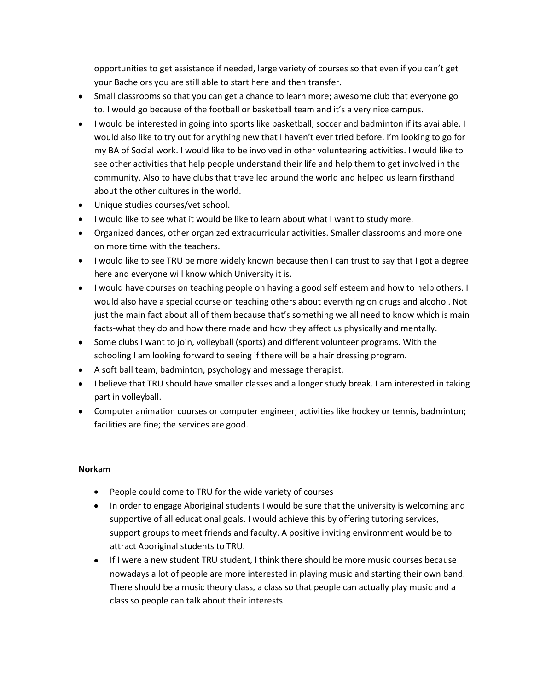opportunities to get assistance if needed, large variety of courses so that even if you can't get your Bachelors you are still able to start here and then transfer.

- Small classrooms so that you can get a chance to learn more; awesome club that everyone go to. I would go because of the football or basketball team and it's a very nice campus.
- I would be interested in going into sports like basketball, soccer and badminton if its available. I would also like to try out for anything new that I haven't ever tried before. I'm looking to go for my BA of Social work. I would like to be involved in other volunteering activities. I would like to see other activities that help people understand their life and help them to get involved in the community. Also to have clubs that travelled around the world and helped us learn firsthand about the other cultures in the world.
- Unique studies courses/vet school.
- I would like to see what it would be like to learn about what I want to study more.
- Organized dances, other organized extracurricular activities. Smaller classrooms and more one on more time with the teachers.
- I would like to see TRU be more widely known because then I can trust to say that I got a degree here and everyone will know which University it is.
- I would have courses on teaching people on having a good self esteem and how to help others. I would also have a special course on teaching others about everything on drugs and alcohol. Not just the main fact about all of them because that's something we all need to know which is main facts-what they do and how there made and how they affect us physically and mentally.
- Some clubs I want to join, volleyball (sports) and different volunteer programs. With the schooling I am looking forward to seeing if there will be a hair dressing program.
- A soft ball team, badminton, psychology and message therapist.
- I believe that TRU should have smaller classes and a longer study break. I am interested in taking part in volleyball.
- Computer animation courses or computer engineer; activities like hockey or tennis, badminton; facilities are fine; the services are good.

## **Norkam**

- People could come to TRU for the wide variety of courses
- In order to engage Aboriginal students I would be sure that the university is welcoming and supportive of all educational goals. I would achieve this by offering tutoring services, support groups to meet friends and faculty. A positive inviting environment would be to attract Aboriginal students to TRU.
- If I were a new student TRU student, I think there should be more music courses because nowadays a lot of people are more interested in playing music and starting their own band. There should be a music theory class, a class so that people can actually play music and a class so people can talk about their interests.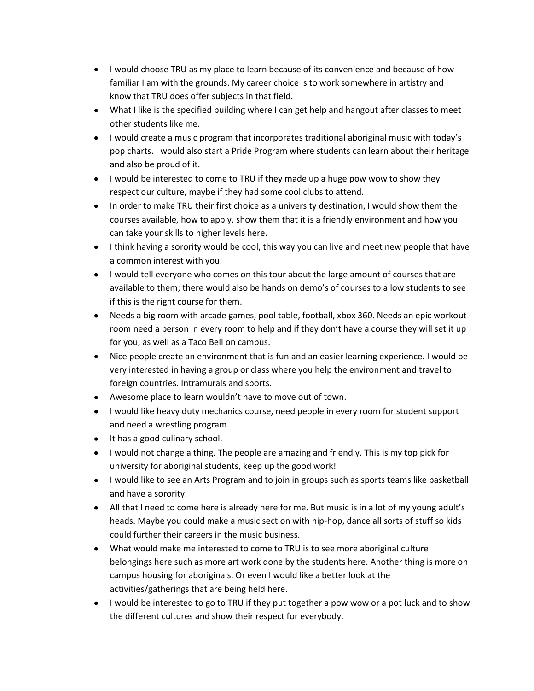- I would choose TRU as my place to learn because of its convenience and because of how familiar I am with the grounds. My career choice is to work somewhere in artistry and I know that TRU does offer subjects in that field.
- What I like is the specified building where I can get help and hangout after classes to meet other students like me.
- I would create a music program that incorporates traditional aboriginal music with today's pop charts. I would also start a Pride Program where students can learn about their heritage and also be proud of it.
- I would be interested to come to TRU if they made up a huge pow wow to show they respect our culture, maybe if they had some cool clubs to attend.
- In order to make TRU their first choice as a university destination, I would show them the courses available, how to apply, show them that it is a friendly environment and how you can take your skills to higher levels here.
- I think having a sorority would be cool, this way you can live and meet new people that have a common interest with you.
- I would tell everyone who comes on this tour about the large amount of courses that are available to them; there would also be hands on demo's of courses to allow students to see if this is the right course for them.
- Needs a big room with arcade games, pool table, football, xbox 360. Needs an epic workout room need a person in every room to help and if they don't have a course they will set it up for you, as well as a Taco Bell on campus.
- Nice people create an environment that is fun and an easier learning experience. I would be very interested in having a group or class where you help the environment and travel to foreign countries. Intramurals and sports.
- Awesome place to learn wouldn't have to move out of town.
- I would like heavy duty mechanics course, need people in every room for student support and need a wrestling program.
- It has a good culinary school.
- I would not change a thing. The people are amazing and friendly. This is my top pick for university for aboriginal students, keep up the good work!
- I would like to see an Arts Program and to join in groups such as sports teams like basketball and have a sorority.
- All that I need to come here is already here for me. But music is in a lot of my young adult's heads. Maybe you could make a music section with hip-hop, dance all sorts of stuff so kids could further their careers in the music business.
- What would make me interested to come to TRU is to see more aboriginal culture belongings here such as more art work done by the students here. Another thing is more on campus housing for aboriginals. Or even I would like a better look at the activities/gatherings that are being held here.
- I would be interested to go to TRU if they put together a pow wow or a pot luck and to show the different cultures and show their respect for everybody.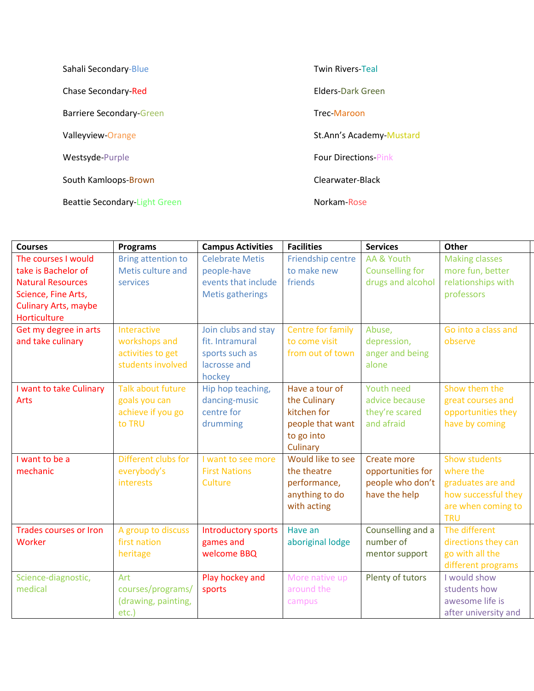| Sahali Secondary-Blue           | <b>Twin Rivers-Teal</b>     |
|---------------------------------|-----------------------------|
| Chase Secondary-Red             | <b>Flders-Dark Green</b>    |
| <b>Barriere Secondary-Green</b> | Trec-Maroon                 |
| Valleyview-Orange               | St.Ann's Academy-Mustard    |
| Westsyde-Purple                 | <b>Four Directions-Pink</b> |
| South Kamloops-Brown            | Clearwater-Black            |
| Beattie Secondary-Light Green   | Norkam-Rose                 |

| <b>Courses</b>                | <b>Programs</b>           | <b>Campus Activities</b>   | <b>Facilities</b>        | <b>Services</b>        | Other                 |
|-------------------------------|---------------------------|----------------------------|--------------------------|------------------------|-----------------------|
| The courses I would           | <b>Bring attention to</b> | <b>Celebrate Metis</b>     | <b>Friendship centre</b> | AA & Youth             | <b>Making classes</b> |
| take is Bachelor of           | Metis culture and         | people-have                | to make new              | <b>Counselling for</b> | more fun, better      |
| <b>Natural Resources</b>      | services                  | events that include        | friends                  | drugs and alcohol      | relationships with    |
| Science, Fine Arts,           |                           | <b>Metis gatherings</b>    |                          |                        | professors            |
| <b>Culinary Arts, maybe</b>   |                           |                            |                          |                        |                       |
| Horticulture                  |                           |                            |                          |                        |                       |
| Get my degree in arts         | Interactive               | Join clubs and stay        | <b>Centre for family</b> | Abuse,                 | Go into a class and   |
| and take culinary             | workshops and             | fit. Intramural            | to come visit            | depression,            | observe               |
|                               | activities to get         | sports such as             | from out of town         | anger and being        |                       |
|                               | students involved         | lacrosse and               |                          | alone                  |                       |
|                               |                           | hockey                     |                          |                        |                       |
| I want to take Culinary       | <b>Talk about future</b>  | Hip hop teaching,          | Have a tour of           | <b>Youth need</b>      | Show them the         |
| Arts                          | goals you can             | dancing-music              | the Culinary             | advice because         | great courses and     |
|                               | achieve if you go         | centre for                 | kitchen for              | they're scared         | opportunities they    |
|                               | to TRU                    | drumming                   | people that want         | and afraid             | have by coming        |
|                               |                           |                            | to go into               |                        |                       |
|                               |                           |                            | Culinary                 |                        |                       |
| I want to be a                | Different clubs for       | I want to see more         | Would like to see        | Create more            | <b>Show students</b>  |
| mechanic                      | everybody's               | <b>First Nations</b>       | the theatre              | opportunities for      | where the             |
|                               | interests                 | Culture                    | performance,             | people who don't       | graduates are and     |
|                               |                           |                            | anything to do           | have the help          | how successful they   |
|                               |                           |                            | with acting              |                        | are when coming to    |
|                               |                           |                            |                          |                        | <b>TRU</b>            |
| <b>Trades courses or Iron</b> | A group to discuss        | <b>Introductory sports</b> | Have an                  | Counselling and a      | The different         |
| Worker                        | first nation              | games and                  | aboriginal lodge         | number of              | directions they can   |
|                               | heritage                  | welcome BBQ                |                          | mentor support         | go with all the       |
|                               |                           |                            |                          |                        | different programs    |
| Science-diagnostic,           | Art                       | Play hockey and            | More native up           | Plenty of tutors       | I would show          |
| medical                       | courses/programs/         | sports                     | around the               |                        | students how          |
|                               | (drawing, painting,       |                            | campus                   |                        | awesome life is       |
|                               | etc.)                     |                            |                          |                        | after university and  |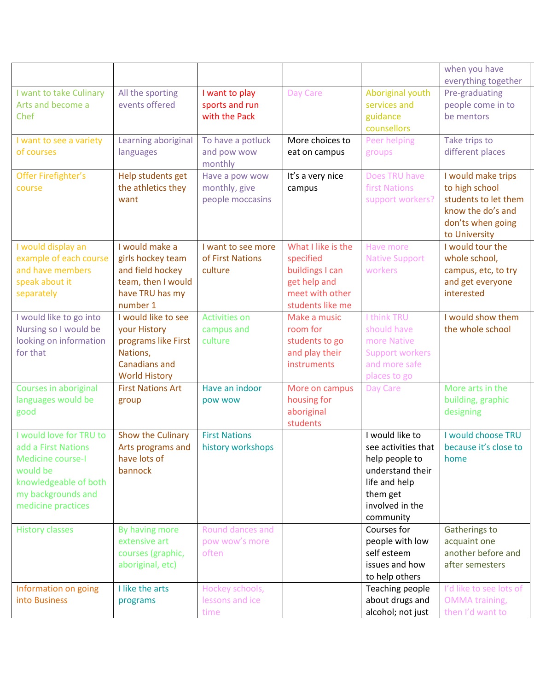|                                                                                                                                                             |                                                                                                                 |                                                     |                                                                                                           |                                                                                                                                           | when you have<br>everything together                                                                                    |
|-------------------------------------------------------------------------------------------------------------------------------------------------------------|-----------------------------------------------------------------------------------------------------------------|-----------------------------------------------------|-----------------------------------------------------------------------------------------------------------|-------------------------------------------------------------------------------------------------------------------------------------------|-------------------------------------------------------------------------------------------------------------------------|
| I want to take Culinary<br>Arts and become a<br>Chef                                                                                                        | All the sporting<br>events offered                                                                              | I want to play<br>sports and run<br>with the Pack   | Day Care                                                                                                  | Aboriginal youth<br>services and<br>guidance<br>counsellors                                                                               | Pre-graduating<br>people come in to<br>be mentors                                                                       |
| I want to see a variety<br>of courses                                                                                                                       | Learning aboriginal<br>languages                                                                                | To have a potluck<br>and pow wow<br>monthly         | More choices to<br>eat on campus                                                                          | Peer helping<br>groups                                                                                                                    | Take trips to<br>different places                                                                                       |
| Offer Firefighter's<br>course                                                                                                                               | Help students get<br>the athletics they<br>want                                                                 | Have a pow wow<br>monthly, give<br>people moccasins | It's a very nice<br>campus                                                                                | Does TRU have<br>first Nations<br>support workers?                                                                                        | I would make trips<br>to high school<br>students to let them<br>know the do's and<br>don'ts when going<br>to University |
| I would display an<br>example of each course<br>and have members<br>speak about it<br>separately                                                            | I would make a<br>girls hockey team<br>and field hockey<br>team, then I would<br>have TRU has my<br>number 1    | I want to see more<br>of First Nations<br>culture   | What I like is the<br>specified<br>buildings I can<br>get help and<br>meet with other<br>students like me | Have more<br><b>Native Support</b><br>workers                                                                                             | I would tour the<br>whole school,<br>campus, etc, to try<br>and get everyone<br>interested                              |
| I would like to go into<br>Nursing so I would be<br>looking on information<br>for that                                                                      | I would like to see<br>your History<br>programs like First<br>Nations,<br>Canadians and<br><b>World History</b> | <b>Activities on</b><br>campus and<br>culture       | Make a music<br>room for<br>students to go<br>and play their<br>instruments                               | I think TRU<br>should have<br>more Native<br><b>Support workers</b><br>and more safe<br>places to go                                      | I would show them<br>the whole school                                                                                   |
| Courses in aboriginal<br>languages would be<br>good                                                                                                         | <b>First Nations Art</b><br>group                                                                               | Have an indoor<br>pow wow                           | More on campus<br>housing for<br>aboriginal<br>students                                                   | Day Care                                                                                                                                  | More arts in the<br>building, graphic<br>designing                                                                      |
| I would love for TRU to<br>add a First Nations<br><b>Medicine course-I</b><br>would be<br>knowledgeable of both<br>my backgrounds and<br>medicine practices | Show the Culinary<br>Arts programs and<br>have lots of<br>bannock                                               | <b>First Nations</b><br>history workshops           |                                                                                                           | I would like to<br>see activities that<br>help people to<br>understand their<br>life and help<br>them get<br>involved in the<br>community | I would choose TRU<br>because it's close to<br>home                                                                     |
| <b>History classes</b>                                                                                                                                      | By having more<br>extensive art<br>courses (graphic,<br>aboriginal, etc)                                        | Round dances and<br>pow wow's more<br>often         |                                                                                                           | Courses for<br>people with low<br>self esteem<br>issues and how<br>to help others                                                         | Gatherings to<br>acquaint one<br>another before and<br>after semesters                                                  |
| Information on going<br>into Business                                                                                                                       | I like the arts<br>programs                                                                                     | Hockey schools,<br>lessons and ice<br>time          |                                                                                                           | Teaching people<br>about drugs and<br>alcohol; not just                                                                                   | I'd like to see lots of<br><b>OMMA</b> training,<br>then I'd want to                                                    |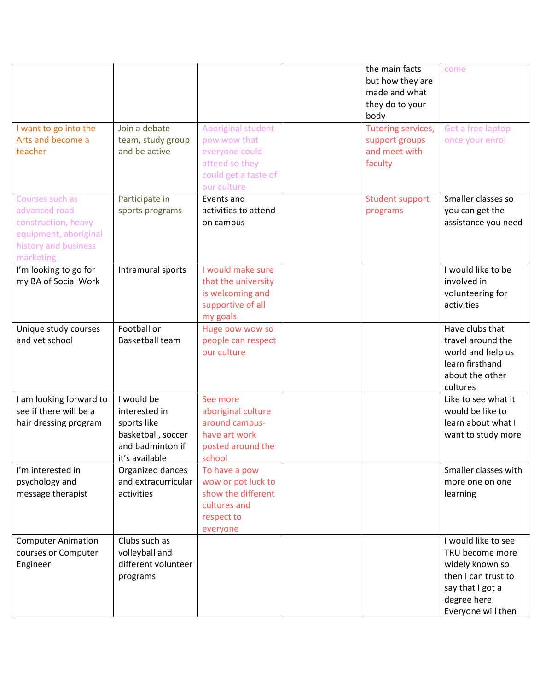|                                                  |                                    |                                          | the main facts<br>but how they are<br>made and what<br>they do to your<br>body | come                              |
|--------------------------------------------------|------------------------------------|------------------------------------------|--------------------------------------------------------------------------------|-----------------------------------|
| I want to go into the<br>Arts and become a       | Join a debate                      | Aboriginal student<br>pow wow that       | Tutoring services,                                                             | Get a free laptop                 |
| teacher                                          | team, study group<br>and be active | everyone could                           | support groups<br>and meet with                                                | once your enrol                   |
|                                                  |                                    | attend so they                           | faculty                                                                        |                                   |
|                                                  |                                    | could get a taste of                     |                                                                                |                                   |
|                                                  |                                    | our culture                              |                                                                                |                                   |
| Courses such as                                  | Participate in                     | Events and                               | <b>Student support</b>                                                         | Smaller classes so                |
| advanced road                                    | sports programs                    | activities to attend                     | programs                                                                       | you can get the                   |
| construction, heavy                              |                                    | on campus                                |                                                                                | assistance you need               |
| equipment, aboriginal                            |                                    |                                          |                                                                                |                                   |
| history and business                             |                                    |                                          |                                                                                |                                   |
| marketing                                        |                                    |                                          |                                                                                |                                   |
| I'm looking to go for<br>my BA of Social Work    | Intramural sports                  | I would make sure<br>that the university |                                                                                | I would like to be<br>involved in |
|                                                  |                                    | is welcoming and                         |                                                                                | volunteering for                  |
|                                                  |                                    | supportive of all                        |                                                                                | activities                        |
|                                                  |                                    | my goals                                 |                                                                                |                                   |
| Unique study courses                             | Football or                        | Huge pow wow so                          |                                                                                | Have clubs that                   |
| and vet school                                   | <b>Basketball team</b>             | people can respect                       |                                                                                | travel around the                 |
|                                                  |                                    | our culture                              |                                                                                | world and help us                 |
|                                                  |                                    |                                          |                                                                                | learn firsthand                   |
|                                                  |                                    |                                          |                                                                                | about the other                   |
| I am looking forward to                          | I would be                         | See more                                 |                                                                                | cultures<br>Like to see what it   |
| see if there will be a                           | interested in                      | aboriginal culture                       |                                                                                | would be like to                  |
| hair dressing program                            | sports like                        | around campus-                           |                                                                                | learn about what I                |
|                                                  | basketball, soccer                 | have art work                            |                                                                                | want to study more                |
|                                                  | and badminton if                   | posted around the                        |                                                                                |                                   |
|                                                  | it's available                     | school                                   |                                                                                |                                   |
| I'm interested in                                | Organized dances                   | To have a pow                            |                                                                                | Smaller classes with              |
| psychology and                                   | and extracurricular                | wow or pot luck to                       |                                                                                | more one on one                   |
| message therapist                                | activities                         | show the different                       |                                                                                | learning                          |
|                                                  |                                    | cultures and                             |                                                                                |                                   |
|                                                  |                                    | respect to                               |                                                                                |                                   |
|                                                  | Clubs such as                      | everyone                                 |                                                                                | I would like to see               |
| <b>Computer Animation</b><br>courses or Computer | volleyball and                     |                                          |                                                                                | TRU become more                   |
| Engineer                                         | different volunteer                |                                          |                                                                                | widely known so                   |
|                                                  | programs                           |                                          |                                                                                | then I can trust to               |
|                                                  |                                    |                                          |                                                                                | say that I got a                  |
|                                                  |                                    |                                          |                                                                                | degree here.                      |
|                                                  |                                    |                                          |                                                                                | Everyone will then                |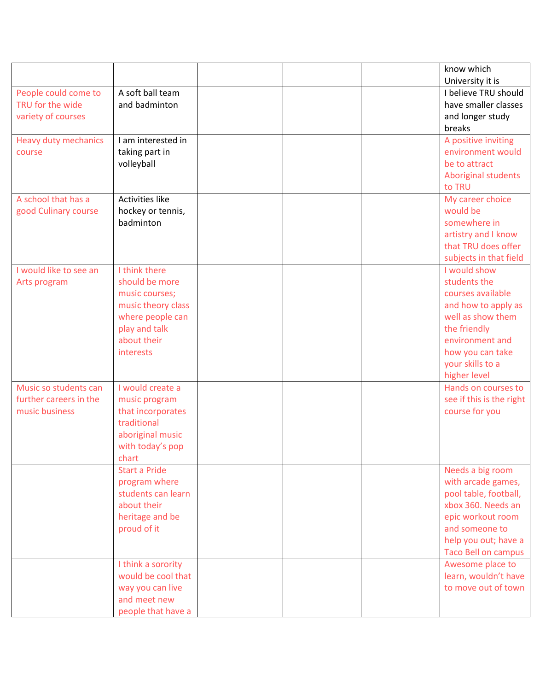|                             |                        |  | know which                 |
|-----------------------------|------------------------|--|----------------------------|
|                             |                        |  | University it is           |
| People could come to        | A soft ball team       |  | I believe TRU should       |
| TRU for the wide            | and badminton          |  | have smaller classes       |
| variety of courses          |                        |  | and longer study           |
|                             |                        |  | breaks                     |
| <b>Heavy duty mechanics</b> | I am interested in     |  | A positive inviting        |
| course                      | taking part in         |  | environment would          |
|                             | volleyball             |  | be to attract              |
|                             |                        |  | Aboriginal students        |
|                             |                        |  | to TRU                     |
| A school that has a         | <b>Activities like</b> |  | My career choice           |
| good Culinary course        | hockey or tennis,      |  | would be                   |
|                             | badminton              |  | somewhere in               |
|                             |                        |  | artistry and I know        |
|                             |                        |  | that TRU does offer        |
|                             |                        |  | subjects in that field     |
| I would like to see an      | I think there          |  | I would show               |
| Arts program                | should be more         |  | students the               |
|                             | music courses;         |  | courses available          |
|                             | music theory class     |  | and how to apply as        |
|                             | where people can       |  | well as show them          |
|                             | play and talk          |  | the friendly               |
|                             | about their            |  | environment and            |
|                             | interests              |  | how you can take           |
|                             |                        |  | your skills to a           |
|                             |                        |  | higher level               |
| Music so students can       | I would create a       |  | Hands on courses to        |
| further careers in the      | music program          |  | see if this is the right   |
| music business              | that incorporates      |  | course for you             |
|                             | traditional            |  |                            |
|                             | aboriginal music       |  |                            |
|                             | with today's pop       |  |                            |
|                             | chart                  |  |                            |
|                             | <b>Start a Pride</b>   |  | Needs a big room           |
|                             | program where          |  | with arcade games,         |
|                             | students can learn     |  | pool table, football,      |
|                             | about their            |  | xbox 360. Needs an         |
|                             | heritage and be        |  | epic workout room          |
|                             | proud of it            |  | and someone to             |
|                             |                        |  | help you out; have a       |
|                             |                        |  | <b>Taco Bell on campus</b> |
|                             | I think a sorority     |  | Awesome place to           |
|                             | would be cool that     |  | learn, wouldn't have       |
|                             | way you can live       |  | to move out of town        |
|                             | and meet new           |  |                            |
|                             | people that have a     |  |                            |
|                             |                        |  |                            |